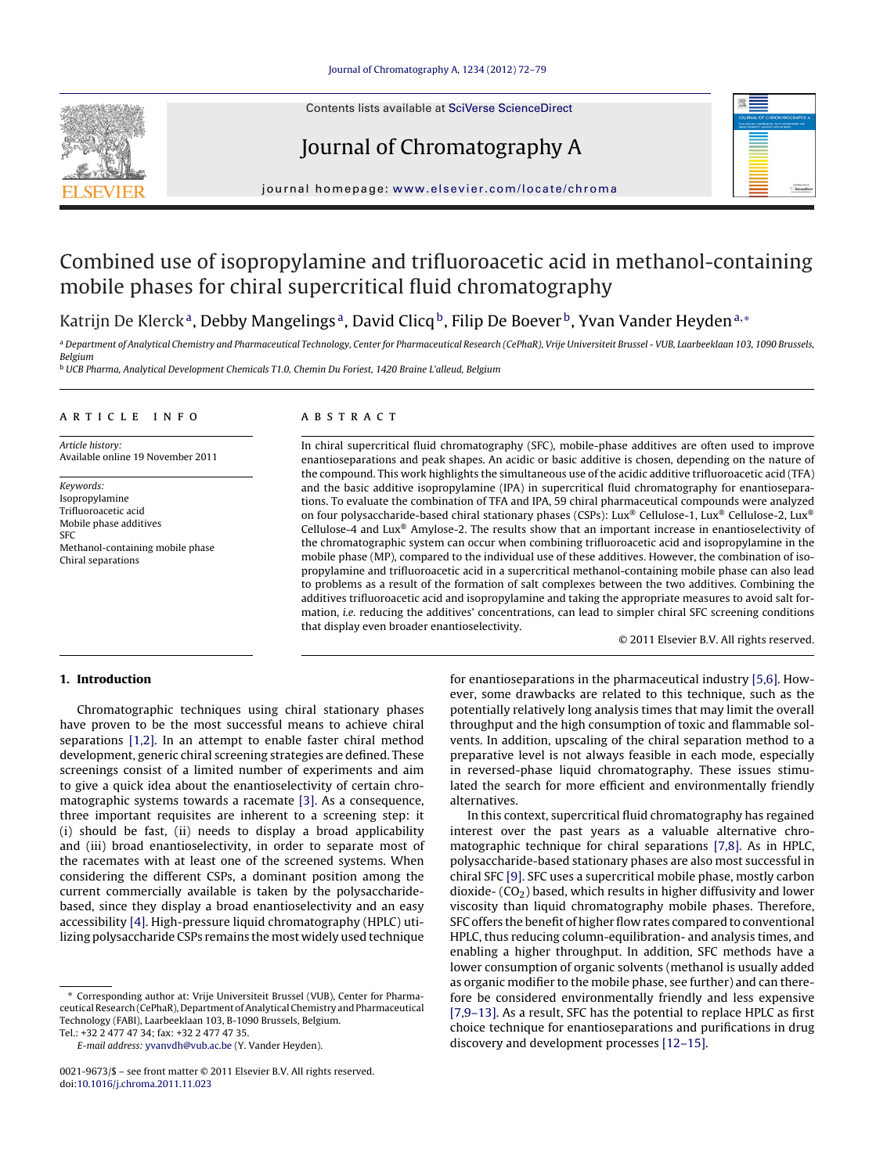Contents lists available at SciVerse [ScienceDirect](http://www.sciencedirect.com/science/journal/00219673)





iournal homepage: [www.elsevier.com/locate/chroma](http://www.elsevier.com/locate/chroma)

Journal of Chromatography A

# Combined use of isopropylamine and trifluoroacetic acid in methanol-containing mobile phases for chiral supercritical fluid chromatography

Katrijn De Klerck<sup>a</sup>, Debby Mangelings<sup>a</sup>, David Clicq<sup>b</sup>, Filip De Boever<sup>b</sup>, Yvan Vander Heyden<sup>a,∗</sup>

a Department of Analytical Chemistry and Pharmaceutical Technology, Center for Pharmaceutical Research (CePhaR), Vrije Universiteit Brussel - VUB, Laarbeeklaan 103, 1090 Brussels, Belgium

<sup>b</sup> UCB Pharma, Analytical Development Chemicals T1.0, Chemin Du Foriest, 1420 Braine L'alleud, Belgium

## a r t i c l e i n f o

Article history: Available online 19 November 2011

Keywords: Isopropylamine Trifluoroacetic acid Mobile phase additives SFC Methanol-containing mobile phase Chiral separations

# A B S T R A C T

In chiral supercritical fluid chromatography (SFC), mobile-phase additives are often used to improve enantioseparations and peak shapes. An acidic or basic additive is chosen, depending on the nature of the compound. This work highlights the simultaneous use of the acidic additive trifluoroacetic acid (TFA) and the basic additive isopropylamine (IPA) in supercritical fluid chromatography for enantioseparations. To evaluate the combination of TFA and IPA, 59 chiral pharmaceutical compounds were analyzed on four polysaccharide-based chiral stationary phases (CSPs): Lux® Cellulose-1, Lux® Cellulose-2, Lux® Cellulose-4 and Lux® Amylose-2. The results show that an important increase in enantioselectivity of the chromatographic system can occur when combining trifluoroacetic acid and isopropylamine in the mobile phase (MP), compared to the individual use of these additives. However, the combination of isopropylamine and trifluoroacetic acid in a supercritical methanol-containing mobile phase can also lead to problems as a result of the formation of salt complexes between the two additives. Combining the additives trifluoroacetic acid and isopropylamine and taking the appropriate measures to avoid salt formation, *i.e.* reducing the additives' concentrations, can lead to simpler chiral SFC screening conditions that display even broader enantioselectivity.

© 2011 Elsevier B.V. All rights reserved.

# **1. Introduction**

Chromatographic techniques using chiral stationary phases have proven to be the most successful means to achieve chiral separations [\[1,2\].](#page-7-0) In an attempt to enable faster chiral method development, generic chiral screening strategies are defined. These screenings consist of a limited number of experiments and aim to give a quick idea about the enantioselectivity of certain chromatographic systems towards a racemate [\[3\].](#page-7-0) As a consequence, three important requisites are inherent to a screening step: it (i) should be fast, (ii) needs to display a broad applicability and (iii) broad enantioselectivity, in order to separate most of the racemates with at least one of the screened systems. When considering the different CSPs, a dominant position among the current commercially available is taken by the polysaccharidebased, since they display a broad enantioselectivity and an easy accessibility [\[4\].](#page-7-0) High-pressure liquid chromatography (HPLC) utilizing polysaccharide CSPs remains the most widely used technique

∗ Corresponding author at: Vrije Universiteit Brussel (VUB), Center for Pharmaceutical Research (CePhaR), Department of Analytical Chemistry and Pharmaceutical Technology (FABI), Laarbeeklaan 103, B-1090 Brussels, Belgium.

Tel.: +32 2 477 47 34; fax: +32 2 477 47 35.

E-mail address: [yvanvdh@vub.ac.be](mailto:yvanvdh@vub.ac.be) (Y. Vander Heyden).

for enantioseparations in the pharmaceutical industry [\[5,6\].](#page-7-0) However, some drawbacks are related to this technique, such as the potentially relatively long analysis times that may limit the overall throughput and the high consumption of toxic and flammable solvents. In addition, upscaling of the chiral separation method to a preparative level is not always feasible in each mode, especially in reversed-phase liquid chromatography. These issues stimulated the search for more efficient and environmentally friendly alternatives.

In this context, supercritical fluid chromatography has regained interest over the past years as a valuable alternative chromatographic technique for chiral separations [\[7,8\].](#page-7-0) As in HPLC, polysaccharide-based stationary phases are also most successful in chiral SFC [\[9\].](#page-7-0) SFC uses a supercritical mobile phase, mostly carbon dioxide- $(CO<sub>2</sub>)$  based, which results in higher diffusivity and lower viscosity than liquid chromatography mobile phases. Therefore, SFC offers the benefit of higher flow rates compared to conventional HPLC, thus reducing column-equilibration- and analysis times, and enabling a higher throughput. In addition, SFC methods have a lower consumption of organic solvents (methanol is usually added as organic modifier to the mobile phase, see further) and can therefore be considered environmentally friendly and less expensive [\[7,9–13\].](#page-7-0) As a result, SFC has the potential to replace HPLC as first choice technique for enantioseparations and purifications in drug discovery and development processes [\[12–15\].](#page-7-0)

<sup>0021-9673/\$</sup> – see front matter © 2011 Elsevier B.V. All rights reserved. doi:[10.1016/j.chroma.2011.11.023](dx.doi.org/10.1016/j.chroma.2011.11.023)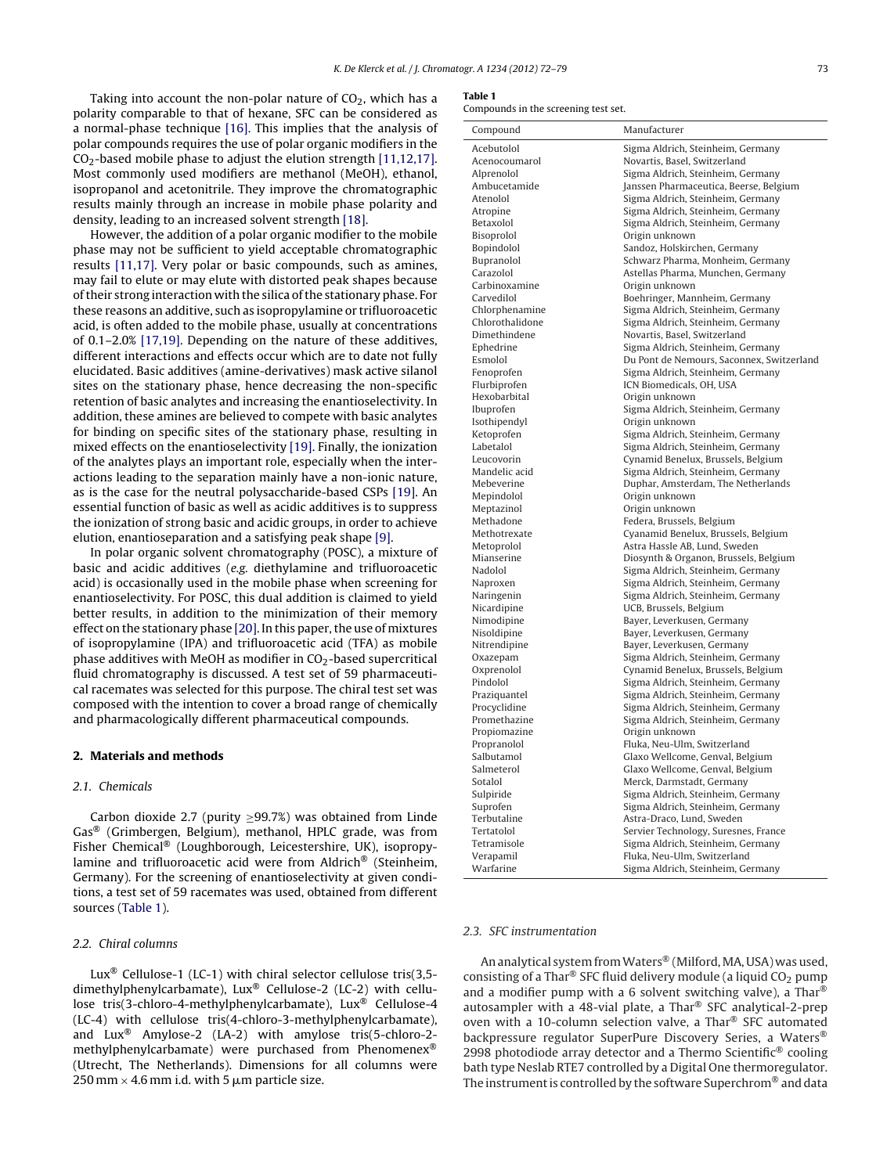Taking into account the non-polar nature of  $CO<sub>2</sub>$ , which has a polarity comparable to that of hexane, SFC can be considered as a normal-phase technique [\[16\].](#page-7-0) This implies that the analysis of polar compounds requires the use of polar organic modifiers in the CO2-based mobile phase to adjust the elution strength [\[11,12,17\].](#page-7-0) Most commonly used modifiers are methanol (MeOH), ethanol, isopropanol and acetonitrile. They improve the chromatographic results mainly through an increase in mobile phase polarity and density, leading to an increased solvent strength [\[18\].](#page-7-0)

However, the addition of a polar organic modifier to the mobile phase may not be sufficient to yield acceptable chromatographic results [\[11,17\].](#page-7-0) Very polar or basic compounds, such as amines, may fail to elute or may elute with distorted peak shapes because oftheir strong interaction with the silica ofthe stationary phase. For these reasons an additive, such as isopropylamine or trifluoroacetic acid, is often added to the mobile phase, usually at concentrations of 0.1–2.0% [\[17,19\].](#page-7-0) Depending on the nature of these additives, different interactions and effects occur which are to date not fully elucidated. Basic additives (amine-derivatives) mask active silanol sites on the stationary phase, hence decreasing the non-specific retention of basic analytes and increasing the enantioselectivity. In addition, these amines are believed to compete with basic analytes for binding on specific sites of the stationary phase, resulting in mixed effects on the enantioselectivity [\[19\].](#page-7-0) Finally, the ionization of the analytes plays an important role, especially when the interactions leading to the separation mainly have a non-ionic nature, as is the case for the neutral polysaccharide-based CSPs [\[19\].](#page-7-0) An essential function of basic as well as acidic additives is to suppress the ionization of strong basic and acidic groups, in order to achieve elution, enantioseparation and a satisfying peak shape [\[9\].](#page-7-0)

In polar organic solvent chromatography (POSC), a mixture of basic and acidic additives (e.g. diethylamine and trifluoroacetic acid) is occasionally used in the mobile phase when screening for enantioselectivity. For POSC, this dual addition is claimed to yield better results, in addition to the minimization of their memory effect on the stationary phase  $[20]$ . In this paper, the use of mixtures of isopropylamine (IPA) and trifluoroacetic acid (TFA) as mobile phase additives with MeOH as modifier in  $CO<sub>2</sub>$ -based supercritical fluid chromatography is discussed. A test set of 59 pharmaceutical racemates was selected for this purpose. The chiral test set was composed with the intention to cover a broad range of chemically and pharmacologically different pharmaceutical compounds.

#### **2. Materials and methods**

#### 2.1. Chemicals

Carbon dioxide 2.7 (purity ≥99.7%) was obtained from Linde Gas® (Grimbergen, Belgium), methanol, HPLC grade, was from Fisher Chemical® (Loughborough, Leicestershire, UK), isopropylamine and trifluoroacetic acid were from Aldrich® (Steinheim, Germany). For the screening of enantioselectivity at given conditions, a test set of 59 racemates was used, obtained from different sources (Table 1).

#### 2.2. Chiral columns

Lux® Cellulose-1 (LC-1) with chiral selector cellulose tris(3,5 dimethylphenylcarbamate), Lux® Cellulose-2 (LC-2) with cellulose tris(3-chloro-4-methylphenylcarbamate), Lux® Cellulose-4 (LC-4) with cellulose tris(4-chloro-3-methylphenylcarbamate), and Lux® Amylose-2 (LA-2) with amylose tris(5-chloro-2 methylphenylcarbamate) were purchased from Phenomenex® (Utrecht, The Netherlands). Dimensions for all columns were  $250\,\mathrm{mm}\times 4.6\,\mathrm{mm}$  i.d. with 5  $\mu$ m particle size.

#### **Table 1**

Compounds in the screening test set.

| Compound                 | Manufacturer                                                           |
|--------------------------|------------------------------------------------------------------------|
| Acebutolol               | Sigma Aldrich, Steinheim, Germany                                      |
| Acenocoumarol            | Novartis, Basel, Switzerland                                           |
| Alprenolol               | Sigma Aldrich, Steinheim, Germany                                      |
| Ambucetamide             | Janssen Pharmaceutica, Beerse, Belgium                                 |
| Atenolol                 | Sigma Aldrich, Steinheim, Germany                                      |
| Atropine                 | Sigma Aldrich, Steinheim, Germany                                      |
| Betaxolol                | Sigma Aldrich, Steinheim, Germany                                      |
| Bisoprolol               | Origin unknown                                                         |
| Bopindolol               | Sandoz, Holskirchen, Germany                                           |
| <b>Bupranolol</b>        | Schwarz Pharma, Monheim, Germany                                       |
| Carazolol                | Astellas Pharma, Munchen, Germany                                      |
| Carbinoxamine            | Origin unknown                                                         |
| Carvedilol               | Boehringer, Mannheim, Germany                                          |
| Chlorphenamine           | Sigma Aldrich, Steinheim, Germany                                      |
| Chlorothalidone          | Sigma Aldrich, Steinheim, Germany                                      |
| Dimethindene             | Novartis, Basel, Switzerland                                           |
| Ephedrine                | Sigma Aldrich, Steinheim, Germany                                      |
| Esmolol                  | Du Pont de Nemours, Saconnex, Switzerland                              |
| Fenoprofen               | Sigma Aldrich, Steinheim, Germany                                      |
| Flurbiprofen             | ICN Biomedicals, OH, USA                                               |
| Hexobarbital             | Origin unknown                                                         |
| Ibuprofen                | Sigma Aldrich, Steinheim, Germany                                      |
| Isothipendyl             | Origin unknown                                                         |
| Ketoprofen               | Sigma Aldrich, Steinheim, Germany                                      |
| Labetalol                | Sigma Aldrich, Steinheim, Germany                                      |
| Leucovorin               | Cynamid Benelux, Brussels, Belgium                                     |
| Mandelic acid            | Sigma Aldrich, Steinheim, Germany                                      |
| Mebeverine               | Duphar, Amsterdam, The Netherlands                                     |
| Mepindolol               | Origin unknown                                                         |
| Meptazinol               | Origin unknown                                                         |
| Methadone                | Federa, Brussels, Belgium                                              |
| Methotrexate             | Cyanamid Benelux, Brussels, Belgium                                    |
| Metoprolol<br>Mianserine | Astra Hassle AB, Lund, Sweden<br>Diosynth & Organon, Brussels, Belgium |
| Nadolol                  | Sigma Aldrich, Steinheim, Germany                                      |
| Naproxen                 | Sigma Aldrich, Steinheim, Germany                                      |
| Naringenin               | Sigma Aldrich, Steinheim, Germany                                      |
| Nicardipine              | UCB, Brussels, Belgium                                                 |
| Nimodipine               | Bayer, Leverkusen, Germany                                             |
| Nisoldipine              | Bayer, Leverkusen, Germany                                             |
| Nitrendipine             | Bayer, Leverkusen, Germany                                             |
| Oxazepam                 | Sigma Aldrich, Steinheim, Germany                                      |
| Oxprenolol               | Cynamid Benelux, Brussels, Belgium                                     |
| Pindolol                 | Sigma Aldrich, Steinheim, Germany                                      |
| Praziquantel             | Sigma Aldrich, Steinheim, Germany                                      |
| Procyclidine             | Sigma Aldrich, Steinheim, Germany                                      |
| Promethazine             | Sigma Aldrich, Steinheim, Germany                                      |
| Propiomazine             | Origin unknown                                                         |
| Propranolol              | Fluka, Neu-Ulm, Switzerland                                            |
| Salbutamol               | Glaxo Wellcome, Genval, Belgium                                        |
| Salmeterol               | Glaxo Wellcome, Genval, Belgium                                        |
| Sotalol                  | Merck, Darmstadt, Germany                                              |
| Sulpiride                | Sigma Aldrich, Steinheim, Germany                                      |
| Suprofen                 | Sigma Aldrich, Steinheim, Germany                                      |
| Terbutaline              | Astra-Draco, Lund, Sweden                                              |
| Tertatolol               | Servier Technology, Suresnes, France                                   |
| Tetramisole              | Sigma Aldrich, Steinheim, Germany                                      |
| Verapamil                | Fluka, Neu-Ulm, Switzerland                                            |
| Warfarine                | Sigma Aldrich, Steinheim, Germany                                      |

# 2.3. SFC instrumentation

An analytical system from Waters<sup>®</sup> (Milford, MA, USA) was used, consisting of a Thar<sup>®</sup> SFC fluid delivery module (a liquid  $CO<sub>2</sub>$  pump and a modifier pump with a 6 solvent switching valve), a Thar $^{\circledR}$ autosampler with a 48-vial plate, a Thar® SFC analytical-2-prep oven with a 10-column selection valve, a Thar® SFC automated backpressure regulator SuperPure Discovery Series, a Waters® 2998 photodiode array detector and a Thermo Scientific® cooling bath type Neslab RTE7 controlled by a Digital One thermoregulator. The instrument is controlled by the software Superchrom® and data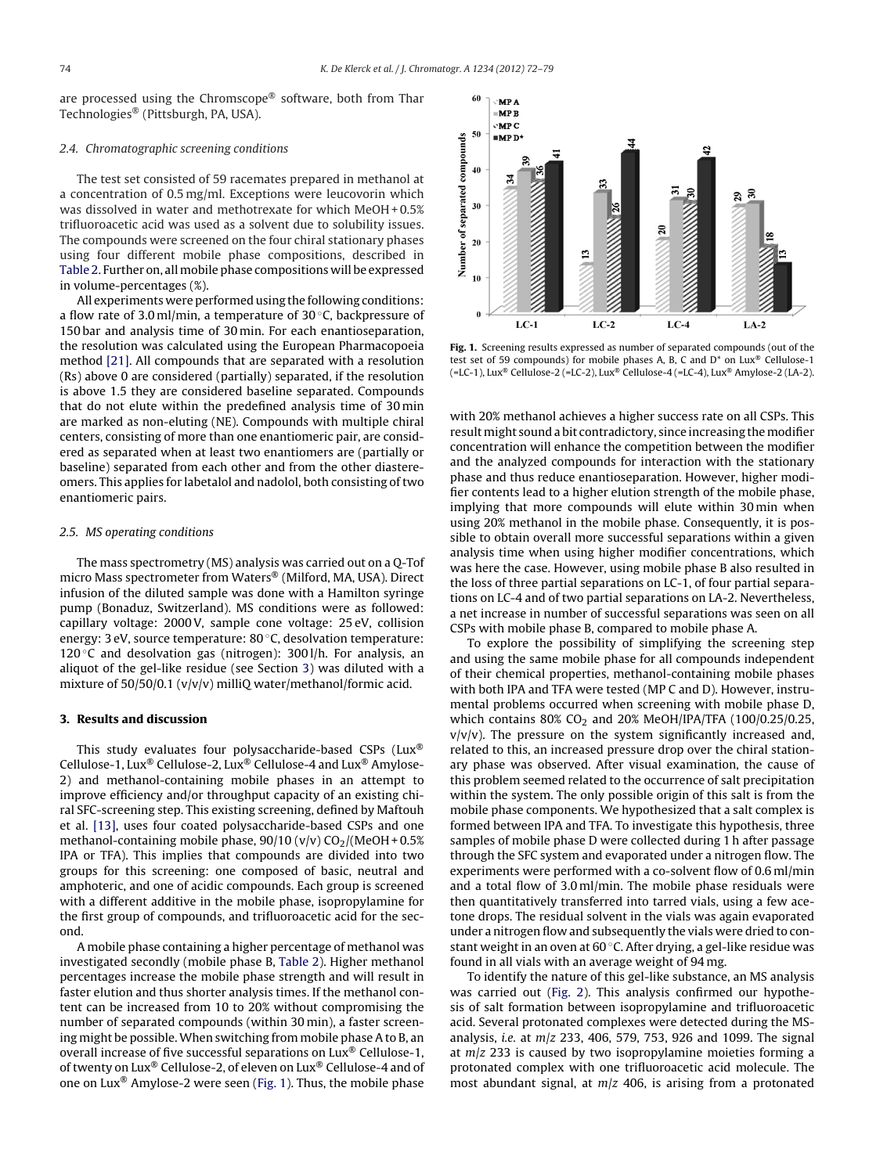<span id="page-2-0"></span>are processed using the Chromscope® software, both from Thar Technologies® (Pittsburgh, PA, USA).

## 2.4. Chromatographic screening conditions

The test set consisted of 59 racemates prepared in methanol at a concentration of 0.5 mg/ml. Exceptions were leucovorin which was dissolved in water and methotrexate for which MeOH + 0.5% trifluoroacetic acid was used as a solvent due to solubility issues. The compounds were screened on the four chiral stationary phases using four different mobile phase compositions, described in [Table](#page-3-0) 2. Further on, allmobile phase compositions will be expressed in volume-percentages (%).

All experiments were performed using the following conditions: a flow rate of 3.0 ml/min, a temperature of 30 ◦C, backpressure of 150 bar and analysis time of 30 min. For each enantioseparation, the resolution was calculated using the European Pharmacopoeia method [\[21\].](#page-7-0) All compounds that are separated with a resolution (Rs) above 0 are considered (partially) separated, if the resolution is above 1.5 they are considered baseline separated. Compounds that do not elute within the predefined analysis time of 30 min are marked as non-eluting (NE). Compounds with multiple chiral centers, consisting of more than one enantiomeric pair, are considered as separated when at least two enantiomers are (partially or baseline) separated from each other and from the other diastereomers. This applies for labetalol and nadolol, both consisting of two enantiomeric pairs.

#### 2.5. MS operating conditions

The mass spectrometry (MS) analysis was carried out on a Q-Tof micro Mass spectrometer from Waters® (Milford, MA, USA). Direct infusion of the diluted sample was done with a Hamilton syringe pump (Bonaduz, Switzerland). MS conditions were as followed: capillary voltage: 2000V, sample cone voltage: 25 eV, collision energy: 3 eV, source temperature: 80 ◦C, desolvation temperature: 120 $\degree$ C and desolvation gas (nitrogen): 3001/h. For analysis, an aliquot of the gel-like residue (see Section 3) was diluted with a mixture of 50/50/0.1 ( $v/v/v$ ) milliQ water/methanol/formic acid.

## **3. Results and discussion**

This study evaluates four polysaccharide-based CSPs (Lux® Cellulose-1, Lux® Cellulose-2, Lux® Cellulose-4 and Lux® Amylose-2) and methanol-containing mobile phases in an attempt to improve efficiency and/or throughput capacity of an existing chiral SFC-screening step. This existing screening, defined by Maftouh et al. [\[13\],](#page-7-0) uses four coated polysaccharide-based CSPs and one methanol-containing mobile phase,  $90/10$  (v/v)  $CO<sub>2</sub>$ /(MeOH + 0.5% IPA or TFA). This implies that compounds are divided into two groups for this screening: one composed of basic, neutral and amphoteric, and one of acidic compounds. Each group is screened with a different additive in the mobile phase, isopropylamine for the first group of compounds, and trifluoroacetic acid for the second.

A mobile phase containing a higher percentage of methanol was investigated secondly (mobile phase B, [Table](#page-3-0) 2). Higher methanol percentages increase the mobile phase strength and will result in faster elution and thus shorter analysis times. If the methanol content can be increased from 10 to 20% without compromising the number of separated compounds (within 30 min), a faster screening might be possible.When switching from mobile phase A to B, an overall increase of five successful separations on Lux® Cellulose-1, of twenty on Lux® Cellulose-2, of eleven on Lux® Cellulose-4 and of one on Lux® Amylose-2 were seen (Fig. 1). Thus, the mobile phase



**Fig. 1.** Screening results expressed as number of separated compounds (out of the test set of 59 compounds) for mobile phases A, B, C and D\* on Lux® Cellulose-1 (=LC-1), Lux® Cellulose-2 (=LC-2), Lux® Cellulose-4 (=LC-4), Lux® Amylose-2 (LA-2).

with 20% methanol achieves a higher success rate on all CSPs. This result might sound a bit contradictory, since increasing the modifier concentration will enhance the competition between the modifier and the analyzed compounds for interaction with the stationary phase and thus reduce enantioseparation. However, higher modifier contents lead to a higher elution strength of the mobile phase, implying that more compounds will elute within 30 min when using 20% methanol in the mobile phase. Consequently, it is possible to obtain overall more successful separations within a given analysis time when using higher modifier concentrations, which was here the case. However, using mobile phase B also resulted in the loss of three partial separations on LC-1, of four partial separations on LC-4 and of two partial separations on LA-2. Nevertheless, a net increase in number of successful separations was seen on all CSPs with mobile phase B, compared to mobile phase A.

To explore the possibility of simplifying the screening step and using the same mobile phase for all compounds independent of their chemical properties, methanol-containing mobile phases with both IPA and TFA were tested (MP C and D). However, instrumental problems occurred when screening with mobile phase D, which contains 80% CO<sub>2</sub> and 20% MeOH/IPA/TFA (100/0.25/0.25,  $v/v/v$ ). The pressure on the system significantly increased and, related to this, an increased pressure drop over the chiral stationary phase was observed. After visual examination, the cause of this problem seemed related to the occurrence of salt precipitation within the system. The only possible origin of this salt is from the mobile phase components. We hypothesized that a salt complex is formed between IPA and TFA. To investigate this hypothesis, three samples of mobile phase D were collected during 1 h after passage through the SFC system and evaporated under a nitrogen flow. The experiments were performed with a co-solvent flow of 0.6 ml/min and a total flow of 3.0 ml/min. The mobile phase residuals were then quantitatively transferred into tarred vials, using a few acetone drops. The residual solvent in the vials was again evaporated under a nitrogen flow and subsequently the vials were dried to constant weight in an oven at  $60^{\circ}$ C. After drying, a gel-like residue was found in all vials with an average weight of 94 mg.

To identify the nature of this gel-like substance, an MS analysis was carried out [\(Fig.](#page-3-0) 2). This analysis confirmed our hypothesis of salt formation between isopropylamine and trifluoroacetic acid. Several protonated complexes were detected during the MSanalysis, i.e. at  $m/z$  233, 406, 579, 753, 926 and 1099. The signal at  $m/z$  233 is caused by two isopropylamine moieties forming a protonated complex with one trifluoroacetic acid molecule. The most abundant signal, at  $m/z$  406, is arising from a protonated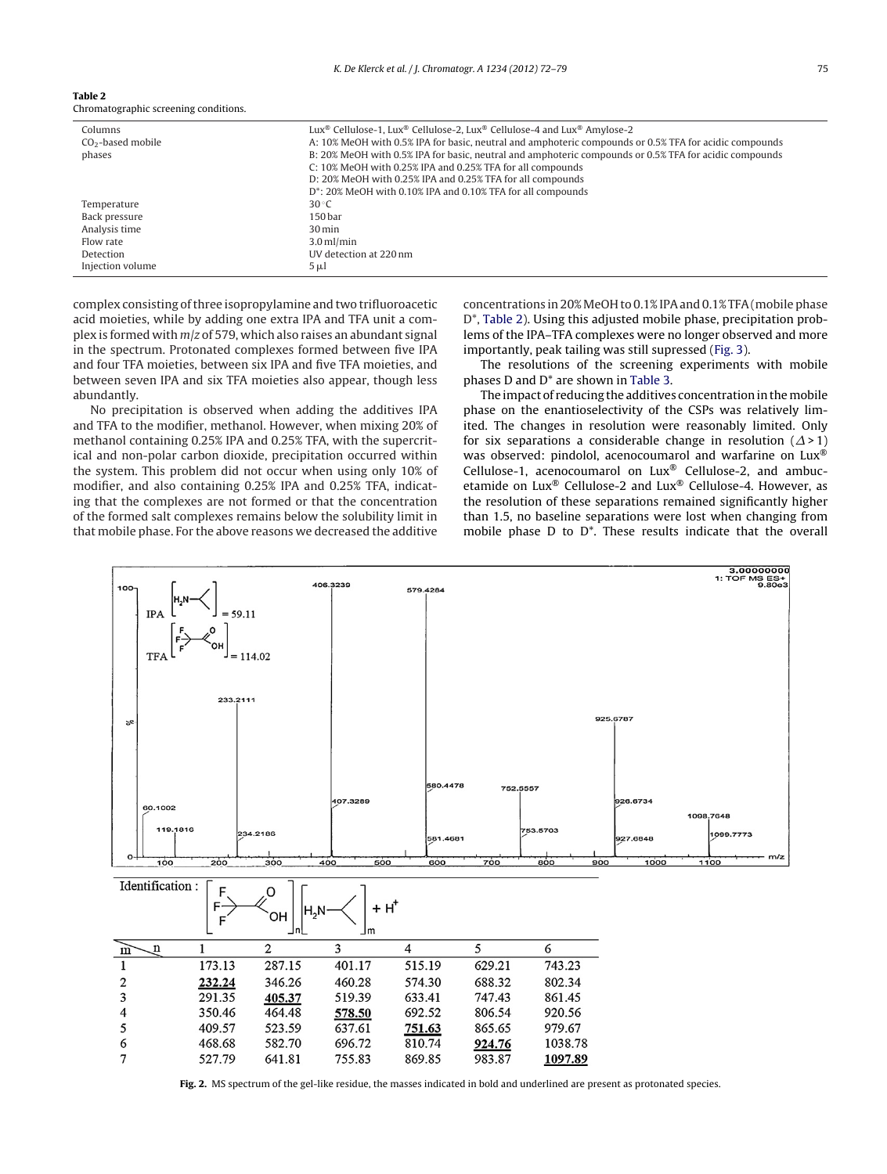<span id="page-3-0"></span>

| Table 2                               |  |
|---------------------------------------|--|
| Chromatographic screening conditions. |  |

| Columns             | Lux <sup>®</sup> Cellulose-1, Lux <sup>®</sup> Cellulose-2, Lux <sup>®</sup> Cellulose-4 and Lux <sup>®</sup> Amylose-2 |
|---------------------|-------------------------------------------------------------------------------------------------------------------------|
| $CO2$ -based mobile | A: 10% MeOH with 0.5% IPA for basic, neutral and amphoteric compounds or 0.5% TFA for acidic compounds                  |
| phases              | B: 20% MeOH with 0.5% IPA for basic, neutral and amphoteric compounds or 0.5% TFA for acidic compounds                  |
|                     | C: 10% MeOH with 0.25% IPA and 0.25% TFA for all compounds                                                              |
|                     | D: 20% MeOH with 0.25% IPA and 0.25% TFA for all compounds                                                              |
|                     | D <sup>*</sup> : 20% MeOH with 0.10% IPA and 0.10% TFA for all compounds                                                |
| Temperature         | $30^{\circ}$ C                                                                                                          |
| Back pressure       | 150 <sub>bar</sub>                                                                                                      |
| Analysis time       | $30 \,\mathrm{min}$                                                                                                     |
| Flow rate           | $3.0$ ml/min                                                                                                            |
| Detection           | UV detection at 220 nm                                                                                                  |
| Injection volume    | $5 \mu l$                                                                                                               |

complex consisting ofthree isopropylamine and two trifluoroacetic acid moieties, while by adding one extra IPA and TFA unit a complex is formed with  $m/z$  of 579, which also raises an abundant signal in the spectrum. Protonated complexes formed between five IPA and four TFA moieties, between six IPA and five TFA moieties, and between seven IPA and six TFA moieties also appear, though less abundantly.

No precipitation is observed when adding the additives IPA and TFA to the modifier, methanol. However, when mixing 20% of methanol containing 0.25% IPA and 0.25% TFA, with the supercritical and non-polar carbon dioxide, precipitation occurred within the system. This problem did not occur when using only 10% of modifier, and also containing 0.25% IPA and 0.25% TFA, indicating that the complexes are not formed or that the concentration of the formed salt complexes remains below the solubility limit in that mobile phase. For the above reasons we decreased the additive concentrations in 20%MeOH to 0.1%IPAand 0.1%TFA(mobile phase D\*, Table 2). Using this adjusted mobile phase, precipitation problems of the IPA–TFA complexes were no longer observed and more importantly, peak tailing was still supressed ([Fig.](#page-4-0) 3).

The resolutions of the screening experiments with mobile phases D and D\* are shown in [Table](#page-5-0) 3.

The impact of reducing the additives concentration in the mobile phase on the enantioselectivity of the CSPs was relatively limited. The changes in resolution were reasonably limited. Only for six separations a considerable change in resolution ( $\Delta$ >1) was observed: pindolol, acenocoumarol and warfarine on Lux<sup>®</sup> Cellulose-1, acenocoumarol on Lux® Cellulose-2, and ambucetamide on Lux® Cellulose-2 and Lux® Cellulose-4. However, as the resolution of these separations remained significantly higher than 1.5, no baseline separations were lost when changing from mobile phase D to D\*. These results indicate that the overall



**Fig. 2.** MS spectrum of the gel-like residue, the masses indicated in bold and underlined are present as protonated species.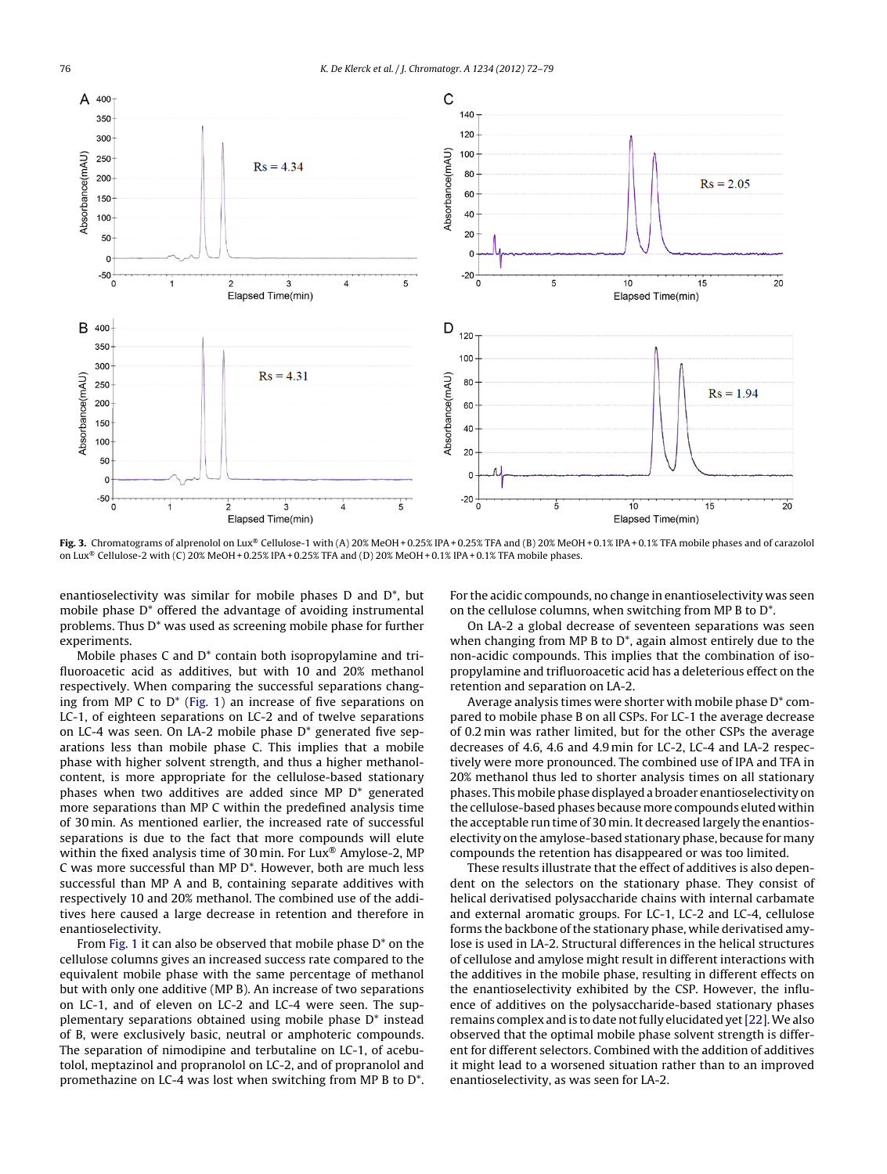<span id="page-4-0"></span>

Fig. 3. Chromatograms of alprenolol on Lux® Cellulose-1 with (A) 20% MeOH + 0.25% IPA + 0.25% TFA and (B) 20% MeOH + 0.1% IPA + 0.1% TFA mobile phases and of carazolol on Lux® Cellulose-2 with (C) 20% MeOH + 0.25% IPA+ 0.25% TFA and (D) 20% MeOH + 0.1% IPA+ 0.1% TFA mobile phases.

enantioselectivity was similar for mobile phases D and D\*, but mobile phase D\* offered the advantage of avoiding instrumental problems. Thus D\* was used as screening mobile phase for further experiments.

Mobile phases C and D\* contain both isopropylamine and trifluoroacetic acid as additives, but with 10 and 20% methanol respectively. When comparing the successful separations changing from MP C to  $D^*$  [\(Fig.](#page-2-0) 1) an increase of five separations on LC-1, of eighteen separations on LC-2 and of twelve separations on LC-4 was seen. On LA-2 mobile phase D\* generated five separations less than mobile phase C. This implies that a mobile phase with higher solvent strength, and thus a higher methanolcontent, is more appropriate for the cellulose-based stationary phases when two additives are added since MP D\* generated more separations than MP C within the predefined analysis time of 30 min. As mentioned earlier, the increased rate of successful separations is due to the fact that more compounds will elute within the fixed analysis time of 30 min. For Lux® Amylose-2, MP C was more successful than MP D\*. However, both are much less successful than MP A and B, containing separate additives with respectively 10 and 20% methanol. The combined use of the additives here caused a large decrease in retention and therefore in enantioselectivity.

From [Fig.](#page-2-0) 1 it can also be observed that mobile phase D\* on the cellulose columns gives an increased success rate compared to the equivalent mobile phase with the same percentage of methanol but with only one additive (MP B). An increase of two separations on LC-1, and of eleven on LC-2 and LC-4 were seen. The supplementary separations obtained using mobile phase D\* instead of B, were exclusively basic, neutral or amphoteric compounds. The separation of nimodipine and terbutaline on LC-1, of acebutolol, meptazinol and propranolol on LC-2, and of propranolol and promethazine on LC-4 was lost when switching from MP B to D\*. For the acidic compounds, no change in enantioselectivity was seen on the cellulose columns, when switching from MP B to D\*.

On LA-2 a global decrease of seventeen separations was seen when changing from MP B to D<sup>\*</sup>, again almost entirely due to the non-acidic compounds. This implies that the combination of isopropylamine and trifluoroacetic acid has a deleterious effect on the retention and separation on LA-2.

Average analysis times were shorter with mobile phase D\* compared to mobile phase B on all CSPs. For LC-1 the average decrease of 0.2 min was rather limited, but for the other CSPs the average decreases of 4.6, 4.6 and 4.9 min for LC-2, LC-4 and LA-2 respectively were more pronounced. The combined use of IPA and TFA in 20% methanol thus led to shorter analysis times on all stationary phases. This mobile phase displayed a broader enantioselectivity on the cellulose-based phases because more compounds eluted within the acceptable run time of 30 min. It decreased largely the enantioselectivity on the amylose-based stationary phase, because for many compounds the retention has disappeared or was too limited.

These results illustrate that the effect of additives is also dependent on the selectors on the stationary phase. They consist of helical derivatised polysaccharide chains with internal carbamate and external aromatic groups. For LC-1, LC-2 and LC-4, cellulose forms the backbone of the stationary phase, while derivatised amylose is used in LA-2. Structural differences in the helical structures of cellulose and amylose might result in different interactions with the additives in the mobile phase, resulting in different effects on the enantioselectivity exhibited by the CSP. However, the influence of additives on the polysaccharide-based stationary phases remains complex and is to date not fully elucidated yet [22]. We also observed that the optimal mobile phase solvent strength is different for different selectors. Combined with the addition of additives it might lead to a worsened situation rather than to an improved enantioselectivity, as was seen for LA-2.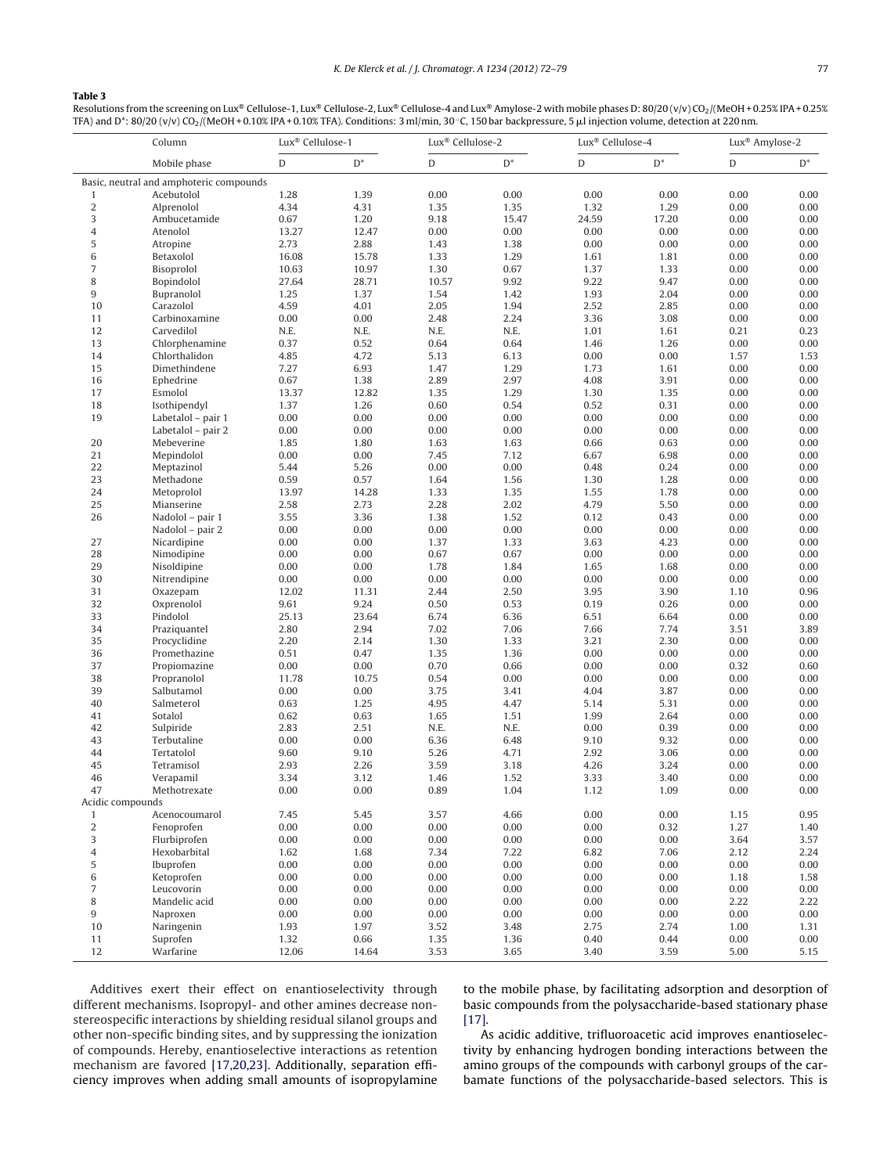## <span id="page-5-0"></span>**Table 3**

Resolutions from the screening on Lux® Cellulose-1, Lux® Cellulose-2, Lux® Cellulose-4 and Lux® Amylose-2 with mobile phases D: 80/20 (v/v) CO<sub>2</sub> ((MeOH + 0.25% IPA + 0.25% TFA) and D\*: 80/20 (v/v) CO $_2$ /(MeOH+0.10% IPA+0.10% TFA). Conditions: 3 ml/min, 30 °C, 150 bar backpressure, 5  $\mu$ l injection volume, detection at 220 nm.

|                  | Column                                  | Lux® Cellulose-1 |              | Lux® Cellulose-2 |              | Lux® Cellulose-4 |              | Lux® Amylose-2 |              |
|------------------|-----------------------------------------|------------------|--------------|------------------|--------------|------------------|--------------|----------------|--------------|
|                  | Mobile phase                            | D                | $D^*$        | D                | $D^*$        | D                | $D^*$        | D              | $D^*$        |
|                  | Basic, neutral and amphoteric compounds |                  |              |                  |              |                  |              |                |              |
| -1               | Acebutolol                              | 1.28             | 1.39         | 0.00             | 0.00         | 0.00             | 0.00         | 0.00           | 0.00         |
| $\overline{2}$   | Alprenolol                              | 4.34             | 4.31         | 1.35             | 1.35         | 1.32             | 1.29         | 0.00           | 0.00         |
| 3                | Ambucetamide                            | 0.67             | 1.20         | 9.18             | 15.47        | 24.59            | 17.20        | 0.00           | 0.00         |
| $\overline{4}$   | Atenolol                                | 13.27            | 12.47        | 0.00             | 0.00         | 0.00             | 0.00         | 0.00           | 0.00         |
| 5                | Atropine                                | 2.73             | 2.88         | 1.43             | 1.38         | 0.00             | 0.00         | 0.00           | 0.00         |
| 6                | Betaxolol                               | 16.08            | 15.78        | 1.33             | 1.29         | 1.61             | 1.81         | 0.00           | 0.00         |
| $\overline{7}$   | Bisoprolol                              | 10.63            | 10.97        | 1.30             | 0.67         | 1.37             | 1.33         | 0.00           | 0.00         |
| 8                | Bopindolol                              | 27.64            | 28.71        | 10.57            | 9.92         | 9.22             | 9.47         | 0.00           | 0.00         |
| 9                | Bupranolol                              | 1.25             | 1.37         | 1.54             | 1.42         | 1.93             | 2.04         | 0.00           | 0.00         |
| 10               | Carazolol                               | 4.59             | 4.01         | 2.05             | 1.94         | 2.52             | 2.85         | 0.00           | 0.00         |
| 11               | Carbinoxamine                           | 0.00             | 0.00         | 2.48             | 2.24         | 3.36             | 3.08         | 0.00           | 0.00         |
| 12               | Carvedilol                              | N.E.             | N.E.         | N.E.             | N.E.         | 1.01             | 1.61         | 0.21           | 0.23         |
| 13               | Chlorphenamine                          | 0.37             | 0.52         | 0.64             | 0.64         | 1.46             | 1.26         | 0.00           | 0.00         |
| 14               | Chlorthalidon                           | 4.85             | 4.72         | 5.13             | 6.13         | 0.00             | 0.00         | 1.57           | 1.53         |
| 15               | Dimethindene                            | 7.27             | 6.93         | 1.47             | 1.29         | 1.73             | 1.61         | 0.00           | 0.00         |
| 16               | Ephedrine                               | 0.67             | 1.38         | 2.89             | 2.97         | 4.08             | 3.91         | 0.00           | 0.00         |
| 17               | Esmolol                                 | 13.37            | 12.82        | 1.35             | 1.29         | 1.30             | 1.35         | 0.00           | 0.00         |
| 18               | Isothipendyl                            | 1.37             | 1.26         | 0.60             | 0.54         | 0.52             | 0.31         | 0.00           | 0.00         |
| 19               | Labetalol - pair 1                      | 0.00             | 0.00         | 0.00             | 0.00         | 0.00             | 0.00         | 0.00           | 0.00         |
| 20               | Labetalol - pair 2                      | 0.00             | 0.00<br>1.80 | 0.00             | 0.00         | 0.00             | 0.00<br>0.63 | 0.00<br>0.00   | 0.00<br>0.00 |
| 21               | Mebeverine<br>Mepindolol                | 1.85<br>0.00     | 0.00         | 1.63<br>7.45     | 1.63<br>7.12 | 0.66<br>6.67     | 6.98         | 0.00           | 0.00         |
| 22               | Meptazinol                              | 5.44             | 5.26         | 0.00             | 0.00         | 0.48             | 0.24         | 0.00           | 0.00         |
| 23               | Methadone                               | 0.59             | 0.57         | 1.64             | 1.56         | 1.30             | 1.28         | 0.00           | 0.00         |
| 24               | Metoprolol                              | 13.97            | 14.28        | 1.33             | 1.35         | 1.55             | 1.78         | 0.00           | 0.00         |
| 25               | Mianserine                              | 2.58             | 2.73         | 2.28             | 2.02         | 4.79             | 5.50         | 0.00           | 0.00         |
| 26               | Nadolol - pair 1                        | 3.55             | 3.36         | 1.38             | 1.52         | 0.12             | 0.43         | 0.00           | 0.00         |
|                  | Nadolol - pair 2                        | 0.00             | 0.00         | 0.00             | 0.00         | 0.00             | 0.00         | 0.00           | 0.00         |
| 27               | Nicardipine                             | 0.00             | 0.00         | 1.37             | 1.33         | 3.63             | 4.23         | 0.00           | 0.00         |
| 28               | Nimodipine                              | 0.00             | 0.00         | 0.67             | 0.67         | 0.00             | 0.00         | 0.00           | 0.00         |
| 29               | Nisoldipine                             | 0.00             | 0.00         | 1.78             | 1.84         | 1.65             | 1.68         | 0.00           | 0.00         |
| 30               | Nitrendipine                            | 0.00             | 0.00         | 0.00             | 0.00         | 0.00             | 0.00         | 0.00           | 0.00         |
| 31               | Oxazepam                                | 12.02            | 11.31        | 2.44             | 2.50         | 3.95             | 3.90         | 1.10           | 0.96         |
| 32               | Oxprenolol                              | 9.61             | 9.24         | 0.50             | 0.53         | 0.19             | 0.26         | 0.00           | 0.00         |
| 33               | Pindolol                                | 25.13            | 23.64        | 6.74             | 6.36         | 6.51             | 6.64         | 0.00           | 0.00         |
| 34               | Praziquantel                            | 2.80             | 2.94         | 7.02             | 7.06         | 7.66             | 7.74         | 3.51           | 3.89         |
| 35               | Procyclidine                            | 2.20             | 2.14         | 1.30             | 1.33         | 3.21             | 2.30         | 0.00           | 0.00         |
| 36               | Promethazine                            | 0.51             | 0.47         | 1.35             | 1.36         | 0.00             | 0.00         | 0.00           | 0.00         |
| 37               | Propiomazine                            | 0.00             | 0.00         | 0.70             | 0.66         | 0.00             | 0.00         | 0.32           | 0.60         |
| 38               | Propranolol                             | 11.78            | 10.75        | 0.54             | 0.00         | 0.00             | 0.00         | 0.00           | 0.00         |
| 39               | Salbutamol                              | 0.00             | 0.00         | 3.75             | 3.41         | 4.04             | 3.87         | 0.00           | 0.00         |
| 40               | Salmeterol                              | 0.63             | 1.25         | 4.95             | 4.47         | 5.14             | 5.31         | 0.00           | 0.00         |
| 41               | Sotalol                                 | 0.62             | 0.63         | 1.65             | 1.51         | 1.99             | 2.64         | 0.00           | 0.00         |
| 42               | Sulpiride                               | 2.83             | 2.51         | N.E.             | N.E.         | 0.00             | 0.39         | 0.00           | 0.00         |
| 43               | Terbutaline                             | 0.00             | 0.00         | 6.36             | 6.48         | 9.10             | 9.32         | 0.00           | 0.00         |
| 44               | Tertatolol                              | 9.60             | 9.10         | 5.26             | 4.71         | 2.92             | 3.06         | 0.00           | 0.00         |
| 45               | Tetramisol                              | 2.93             | 2.26         | 3.59             | 3.18         | 4.26             | 3.24         | 0.00           | 0.00         |
| 46               | Verapamil                               | 3.34             | 3.12         | 1.46             | 1.52         | 3.33             | 3.40         | 0.00           | 0.00         |
| 47               | Methotrexate                            | 0.00             | 0.00         | 0.89             | 1.04         | 1.12             | 1.09         | 0.00           | 0.00         |
| Acidic compounds |                                         |                  |              |                  |              |                  |              |                |              |
| $\mathbf{1}$     | Acenocoumarol                           | 7.45             | 5.45         | 3.57             | 4.66         | 0.00             | 0.00         | 1.15           | 0.95         |
| $\overline{2}$   | Fenoprofen                              | 0.00             | 0.00         | 0.00             | 0.00         | 0.00             | 0.32         | 1.27           | 1.40         |
| 3                | Flurbiprofen                            | 0.00             | 0.00         | 0.00             | 0.00         | 0.00             | 0.00         | 3.64           | 3.57         |
| $\overline{4}$   | Hexobarbital                            | 1.62             | 1.68         | 7.34             | 7.22         | 6.82             | 7.06         | 2.12           | 2.24         |
| 5                | Ibuprofen                               | 0.00             | 0.00         | 0.00             | 0.00         | 0.00             | 0.00         | 0.00           | 0.00         |
| 6                | Ketoprofen                              | 0.00             | 0.00         | 0.00             | 0.00         | 0.00             | 0.00         | 1.18           | 1.58         |
| $\overline{7}$   | Leucovorin                              | 0.00             | 0.00         | 0.00             | 0.00         | 0.00             | 0.00         | 0.00           | 0.00         |
| 8                | Mandelic acid                           | 0.00             | 0.00         | 0.00             | 0.00         | 0.00             | 0.00         | 2.22           | 2.22         |
| 9                | Naproxen                                | 0.00             | 0.00         | 0.00             | 0.00         | 0.00             | 0.00         | 0.00           | 0.00         |
| 10               | Naringenin                              | 1.93             | 1.97         | 3.52             | 3.48         | 2.75             | 2.74         | 1.00           | 1.31         |
| 11               | Suprofen                                | 1.32             | 0.66         | 1.35             | 1.36         | 0.40             | 0.44         | 0.00           | 0.00         |
| 12               | Warfarine                               | 12.06            | 14.64        | 3.53             | 3.65         | 3.40             | 3.59         | 5.00           | 5.15         |

Additives exert their effect on enantioselectivity through different mechanisms. Isopropyl- and other amines decrease nonstereospecific interactions by shielding residual silanol groups and other non-specific binding sites, and by suppressing the ionization of compounds. Hereby, enantioselective interactions as retention mechanism are favored [\[17,20,23\].](#page-7-0) Additionally, separation efficiency improves when adding small amounts of isopropylamine

to the mobile phase, by facilitating adsorption and desorption of basic compounds from the polysaccharide-based stationary phase [\[17\].](#page-7-0)

As acidic additive, trifluoroacetic acid improves enantioselectivity by enhancing hydrogen bonding interactions between the amino groups of the compounds with carbonyl groups of the carbamate functions of the polysaccharide-based selectors. This is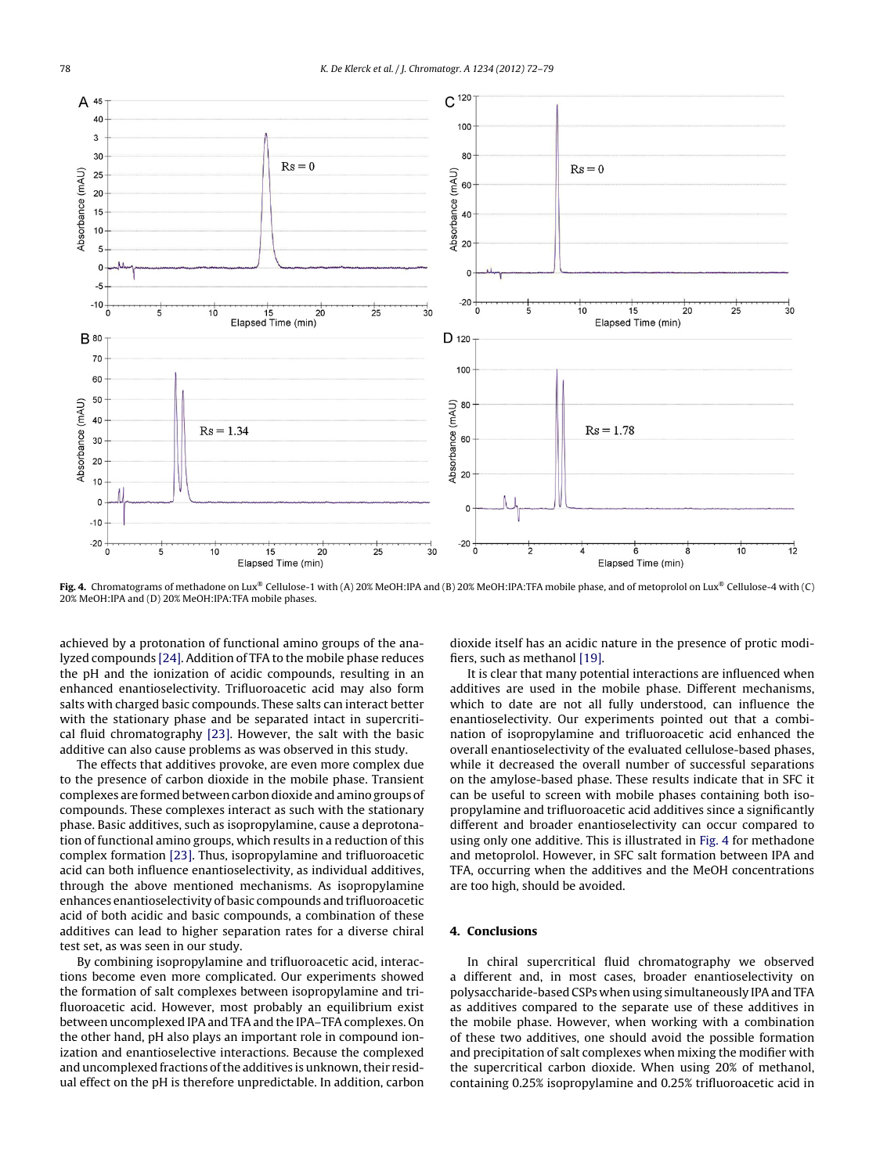

**Fig. 4.** Chromatograms of methadone on Lux® Cellulose-1 with (A) 20% MeOH:IPA and (B) 20% MeOH:IPA:TFA mobile phase, and of metoprolol on Lux® Cellulose-4 with (C) 20% MeOH:IPA and (D) 20% MeOH:IPA:TFA mobile phases.

achieved by a protonation of functional amino groups of the analyzed compounds [\[24\].](#page-7-0) Addition of TFA to the mobile phase reduces the pH and the ionization of acidic compounds, resulting in an enhanced enantioselectivity. Trifluoroacetic acid may also form salts with charged basic compounds. These salts can interact better with the stationary phase and be separated intact in supercritical fluid chromatography [\[23\].](#page-7-0) However, the salt with the basic additive can also cause problems as was observed in this study.

The effects that additives provoke, are even more complex due to the presence of carbon dioxide in the mobile phase. Transient complexes are formed between carbon dioxide and amino groups of compounds. These complexes interact as such with the stationary phase. Basic additives, such as isopropylamine, cause a deprotonation of functional amino groups, which results in a reduction of this complex formation [\[23\].](#page-7-0) Thus, isopropylamine and trifluoroacetic acid can both influence enantioselectivity, as individual additives, through the above mentioned mechanisms. As isopropylamine enhances enantioselectivity of basic compounds and trifluoroacetic acid of both acidic and basic compounds, a combination of these additives can lead to higher separation rates for a diverse chiral test set, as was seen in our study.

By combining isopropylamine and trifluoroacetic acid, interactions become even more complicated. Our experiments showed the formation of salt complexes between isopropylamine and trifluoroacetic acid. However, most probably an equilibrium exist between uncomplexed IPA and TFA and the IPA–TFA complexes. On the other hand, pH also plays an important role in compound ionization and enantioselective interactions. Because the complexed and uncomplexed fractions of the additives is unknown, their residual effect on the pH is therefore unpredictable. In addition, carbon dioxide itself has an acidic nature in the presence of protic modifiers, such as methanol [\[19\].](#page-7-0)

It is clear that many potential interactions are influenced when additives are used in the mobile phase. Different mechanisms, which to date are not all fully understood, can influence the enantioselectivity. Our experiments pointed out that a combination of isopropylamine and trifluoroacetic acid enhanced the overall enantioselectivity of the evaluated cellulose-based phases, while it decreased the overall number of successful separations on the amylose-based phase. These results indicate that in SFC it can be useful to screen with mobile phases containing both isopropylamine and trifluoroacetic acid additives since a significantly different and broader enantioselectivity can occur compared to using only one additive. This is illustrated in Fig. 4 for methadone and metoprolol. However, in SFC salt formation between IPA and TFA, occurring when the additives and the MeOH concentrations are too high, should be avoided.

# **4. Conclusions**

In chiral supercritical fluid chromatography we observed a different and, in most cases, broader enantioselectivity on polysaccharide-based CSPs when using simultaneously IPAand TFA as additives compared to the separate use of these additives in the mobile phase. However, when working with a combination of these two additives, one should avoid the possible formation and precipitation of salt complexes when mixing the modifier with the supercritical carbon dioxide. When using 20% of methanol, containing 0.25% isopropylamine and 0.25% trifluoroacetic acid in